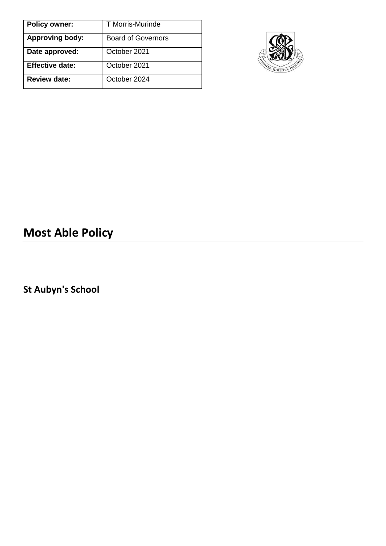| <b>Policy owner:</b>   | T Morris-Murinde          |
|------------------------|---------------------------|
| <b>Approving body:</b> | <b>Board of Governors</b> |
| Date approved:         | October 2021              |
| <b>Effective date:</b> | October 2021              |
| <b>Review date:</b>    | October 2024              |



# **Most Able Policy**

**St Aubyn's School**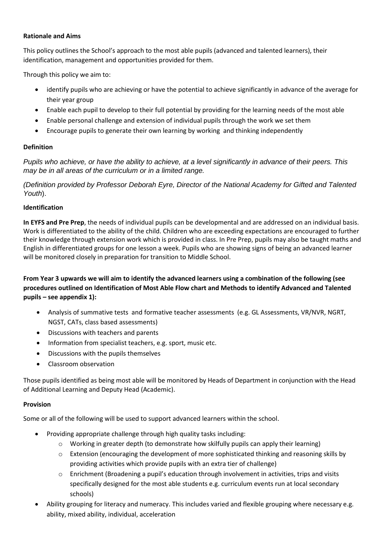#### **Rationale and Aims**

This policy outlines the School's approach to the most able pupils (advanced and talented learners), their identification, management and opportunities provided for them.

Through this policy we aim to:

- identify pupils who are achieving or have the potential to achieve significantly in advance of the average for their year group
- Enable each pupil to develop to their full potential by providing for the learning needs of the most able
- Enable personal challenge and extension of individual pupils through the work we set them
- Encourage pupils to generate their own learning by working and thinking independently

#### **Definition**

Pupils who achieve, or have the ability to achieve, at a level significantly in advance of their peers. This *may be in all areas of the curriculum or in a limited range.*

*(Definition provided by Professor Deborah Eyre, Director of the National Academy for Gifted and Talented Youth*).

#### **Identification**

**In EYFS and Pre Prep**, the needs of individual pupils can be developmental and are addressed on an individual basis. Work is differentiated to the ability of the child. Children who are exceeding expectations are encouraged to further their knowledge through extension work which is provided in class. In Pre Prep, pupils may also be taught maths and English in differentiated groups for one lesson a week. Pupils who are showing signs of being an advanced learner will be monitored closely in preparation for transition to Middle School.

**From Year 3 upwards we will aim to identify the advanced learners using a combination of the following (see procedures outlined on Identification of Most Able Flow chart and Methods to identify Advanced and Talented pupils – see appendix 1):**

- Analysis of summative tests and formative teacher assessments (e.g. GL Assessments, VR/NVR, NGRT, NGST, CATs, class based assessments)
- Discussions with teachers and parents
- Information from specialist teachers, e.g. sport, music etc.
- Discussions with the pupils themselves
- Classroom observation

Those pupils identified as being most able will be monitored by Heads of Department in conjunction with the Head of Additional Learning and Deputy Head (Academic).

#### **Provision**

Some or all of the following will be used to support advanced learners within the school.

- Providing appropriate challenge through high quality tasks including:
	- $\circ$  Working in greater depth (to demonstrate how skilfully pupils can apply their learning)
	- $\circ$  Extension (encouraging the development of more sophisticated thinking and reasoning skills by providing activities which provide pupils with an extra tier of challenge)
	- $\circ$  Enrichment (Broadening a pupil's education through involvement in activities, trips and visits specifically designed for the most able students e.g. curriculum events run at local secondary schools)
- Ability grouping for literacy and numeracy. This includes varied and flexible grouping where necessary e.g. ability, mixed ability, individual, acceleration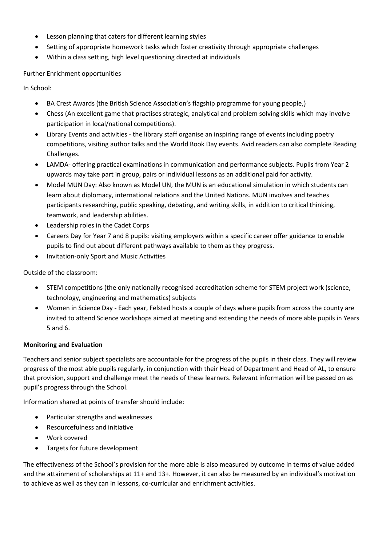- Lesson planning that caters for different learning styles
- Setting of appropriate homework tasks which foster creativity through appropriate challenges
- Within a class setting, high level questioning directed at individuals

Further Enrichment opportunities

In School:

- BA Crest Awards (the British Science Association's flagship programme for young people,)
- Chess (An excellent game that practises strategic, analytical and problem solving skills which may involve participation in local/national competitions).
- Library Events and activities the library staff organise an inspiring range of events including poetry competitions, visiting author talks and the World Book Day events. Avid readers can also complete Reading Challenges.
- LAMDA- offering practical examinations in communication and performance subjects. Pupils from Year 2 upwards may take part in group, pairs or individual lessons as an additional paid for activity.
- Model MUN Day: Also known as Model UN, the MUN is an educational simulation in which students can learn about diplomacy, international relations and the United Nations. MUN involves and teaches participants researching, public speaking, debating, and writing skills, in addition to critical thinking, teamwork, and leadership abilities.
- Leadership roles in the Cadet Corps
- Careers Day for Year 7 and 8 pupils: visiting employers within a specific career offer guidance to enable pupils to find out about different pathways available to them as they progress.
- Invitation-only Sport and Music Activities

Outside of the classroom:

- STEM competitions (the only nationally recognised accreditation scheme for STEM project work (science, technology, engineering and mathematics) subjects
- Women in Science Day Each year, Felsted hosts a couple of days where pupils from across the county are invited to attend Science workshops aimed at meeting and extending the needs of more able pupils in Years 5 and 6.

### **Monitoring and Evaluation**

Teachers and senior subject specialists are accountable for the progress of the pupils in their class. They will review progress of the most able pupils regularly, in conjunction with their Head of Department and Head of AL, to ensure that provision, support and challenge meet the needs of these learners. Relevant information will be passed on as pupil's progress through the School.

Information shared at points of transfer should include:

- Particular strengths and weaknesses
- Resourcefulness and initiative
- Work covered
- Targets for future development

The effectiveness of the School's provision for the more able is also measured by outcome in terms of value added and the attainment of scholarships at 11+ and 13+. However, it can also be measured by an individual's motivation to achieve as well as they can in lessons, co-curricular and enrichment activities.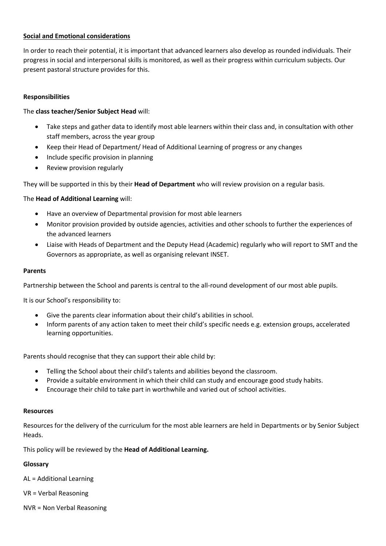## **Social and Emotional considerations**

In order to reach their potential, it is important that advanced learners also develop as rounded individuals. Their progress in social and interpersonal skills is monitored, as well as their progress within curriculum subjects. Our present pastoral structure provides for this.

### **Responsibilities**

## The **class teacher/Senior Subject Head** will:

- Take steps and gather data to identify most able learners within their class and, in consultation with other staff members, across the year group
- Keep their Head of Department/ Head of Additional Learning of progress or any changes
- Include specific provision in planning
- Review provision regularly

They will be supported in this by their **Head of Department** who will review provision on a regular basis.

### The **Head of Additional Learning** will:

- Have an overview of Departmental provision for most able learners
- Monitor provision provided by outside agencies, activities and other schools to further the experiences of the advanced learners
- Liaise with Heads of Department and the Deputy Head (Academic) regularly who will report to SMT and the Governors as appropriate, as well as organising relevant INSET.

#### **Parents**

Partnership between the School and parents is central to the all-round development of our most able pupils.

It is our School's responsibility to:

- Give the parents clear information about their child's abilities in school.
- Inform parents of any action taken to meet their child's specific needs e.g. extension groups, accelerated learning opportunities.

Parents should recognise that they can support their able child by:

- Telling the School about their child's talents and abilities beyond the classroom.
- Provide a suitable environment in which their child can study and encourage good study habits.
- Encourage their child to take part in worthwhile and varied out of school activities.

#### **Resources**

Resources for the delivery of the curriculum for the most able learners are held in Departments or by Senior Subject Heads.

This policy will be reviewed by the **Head of Additional Learning.**

### **Glossary**

AL = Additional Learning

VR = Verbal Reasoning

NVR = Non Verbal Reasoning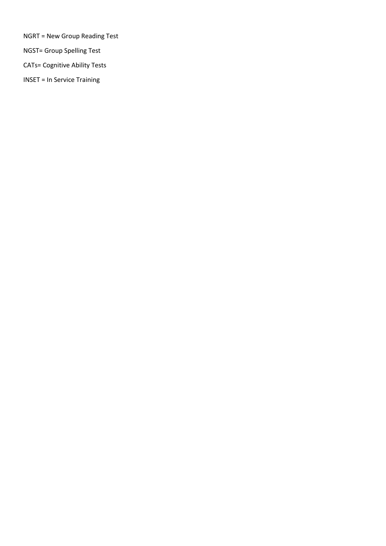NGRT = New Group Reading Test

NGST= Group Spelling Test

CATs= Cognitive Ability Tests

INSET = In Service Training